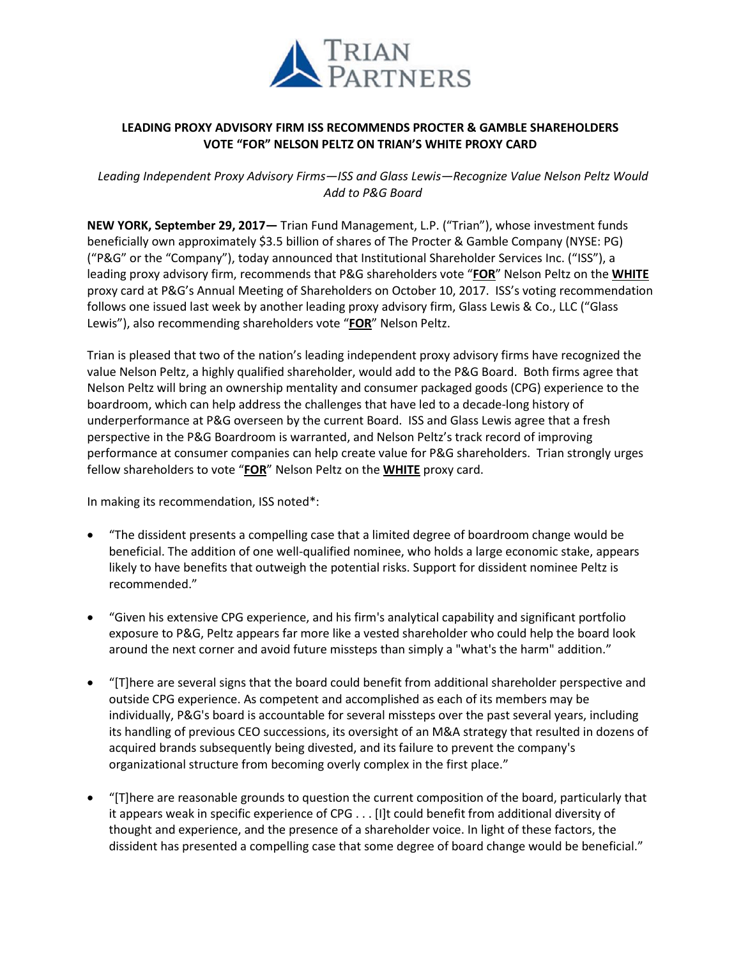

## **LEADING PROXY ADVISORY FIRM ISS RECOMMENDS PROCTER & GAMBLE SHAREHOLDERS VOTE "FOR" NELSON PELTZ ON TRIAN'S WHITE PROXY CARD**

*Leading Independent Proxy Advisory Firms—ISS and Glass Lewis—Recognize Value Nelson Peltz Would Add to P&G Board*

**NEW YORK, September 29, 2017—** Trian Fund Management, L.P. ("Trian"), whose investment funds beneficially own approximately \$3.5 billion of shares of The Procter & Gamble Company (NYSE: PG) ("P&G" or the "Company"), today announced that Institutional Shareholder Services Inc. ("ISS"), a leading proxy advisory firm, recommends that P&G shareholders vote "**FOR**" Nelson Peltz on the **WHITE** proxy card at P&G's Annual Meeting of Shareholders on October 10, 2017. ISS's voting recommendation follows one issued last week by another leading proxy advisory firm, Glass Lewis & Co., LLC ("Glass Lewis"), also recommending shareholders vote "**FOR**" Nelson Peltz.

Trian is pleased that two of the nation's leading independent proxy advisory firms have recognized the value Nelson Peltz, a highly qualified shareholder, would add to the P&G Board. Both firms agree that Nelson Peltz will bring an ownership mentality and consumer packaged goods (CPG) experience to the boardroom, which can help address the challenges that have led to a decade-long history of underperformance at P&G overseen by the current Board. ISS and Glass Lewis agree that a fresh perspective in the P&G Boardroom is warranted, and Nelson Peltz's track record of improving performance at consumer companies can help create value for P&G shareholders. Trian strongly urges fellow shareholders to vote "**FOR**" Nelson Peltz on the **WHITE** proxy card.

In making its recommendation, ISS noted\*:

- "The dissident presents a compelling case that a limited degree of boardroom change would be beneficial. The addition of one well-qualified nominee, who holds a large economic stake, appears likely to have benefits that outweigh the potential risks. Support for dissident nominee Peltz is recommended."
- "Given his extensive CPG experience, and his firm's analytical capability and significant portfolio exposure to P&G, Peltz appears far more like a vested shareholder who could help the board look around the next corner and avoid future missteps than simply a "what's the harm" addition."
- "[T]here are several signs that the board could benefit from additional shareholder perspective and outside CPG experience. As competent and accomplished as each of its members may be individually, P&G's board is accountable for several missteps over the past several years, including its handling of previous CEO successions, its oversight of an M&A strategy that resulted in dozens of acquired brands subsequently being divested, and its failure to prevent the company's organizational structure from becoming overly complex in the first place."
- "[T]here are reasonable grounds to question the current composition of the board, particularly that it appears weak in specific experience of CPG . . . [I]t could benefit from additional diversity of thought and experience, and the presence of a shareholder voice. In light of these factors, the dissident has presented a compelling case that some degree of board change would be beneficial."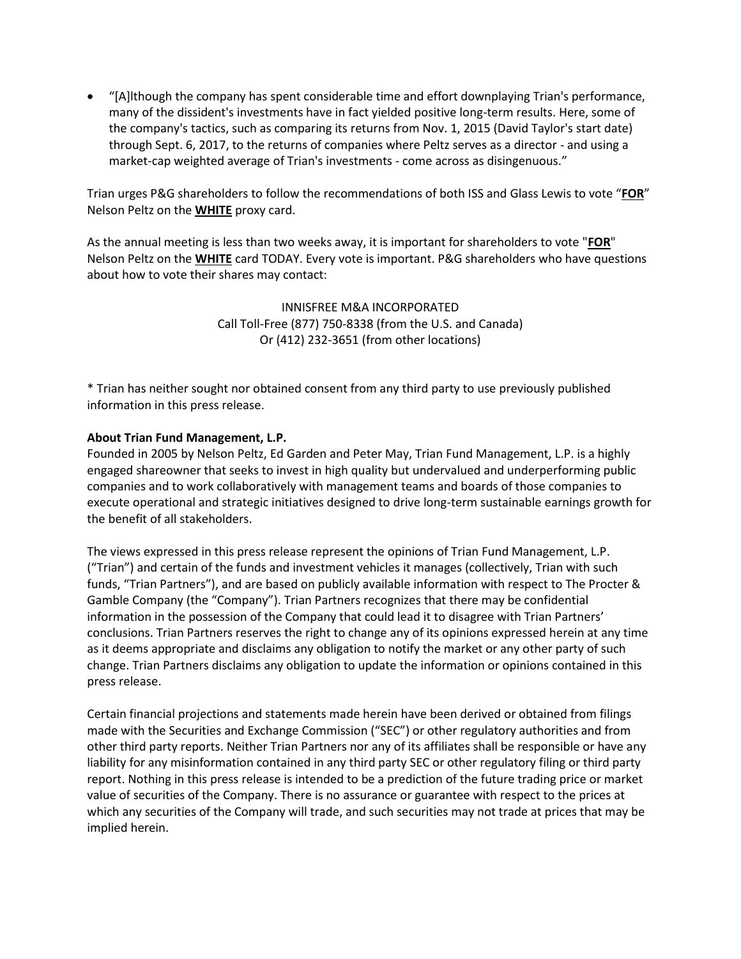"[A]lthough the company has spent considerable time and effort downplaying Trian's performance, many of the dissident's investments have in fact yielded positive long-term results. Here, some of the company's tactics, such as comparing its returns from Nov. 1, 2015 (David Taylor's start date) through Sept. 6, 2017, to the returns of companies where Peltz serves as a director - and using a market-cap weighted average of Trian's investments - come across as disingenuous."

Trian urges P&G shareholders to follow the recommendations of both ISS and Glass Lewis to vote "**FOR**" Nelson Peltz on the **WHITE** proxy card.

As the annual meeting is less than two weeks away, it is important for shareholders to vote "**FOR**" Nelson Peltz on the **WHITE** card TODAY. Every vote is important. P&G shareholders who have questions about how to vote their shares may contact:

> INNISFREE M&A INCORPORATED Call Toll-Free (877) 750-8338 (from the U.S. and Canada) Or (412) 232-3651 (from other locations)

\* Trian has neither sought nor obtained consent from any third party to use previously published information in this press release.

## **About Trian Fund Management, L.P.**

Founded in 2005 by Nelson Peltz, Ed Garden and Peter May, Trian Fund Management, L.P. is a highly engaged shareowner that seeks to invest in high quality but undervalued and underperforming public companies and to work collaboratively with management teams and boards of those companies to execute operational and strategic initiatives designed to drive long-term sustainable earnings growth for the benefit of all stakeholders.

The views expressed in this press release represent the opinions of Trian Fund Management, L.P. ("Trian") and certain of the funds and investment vehicles it manages (collectively, Trian with such funds, "Trian Partners"), and are based on publicly available information with respect to The Procter & Gamble Company (the "Company"). Trian Partners recognizes that there may be confidential information in the possession of the Company that could lead it to disagree with Trian Partners' conclusions. Trian Partners reserves the right to change any of its opinions expressed herein at any time as it deems appropriate and disclaims any obligation to notify the market or any other party of such change. Trian Partners disclaims any obligation to update the information or opinions contained in this press release.

Certain financial projections and statements made herein have been derived or obtained from filings made with the Securities and Exchange Commission ("SEC") or other regulatory authorities and from other third party reports. Neither Trian Partners nor any of its affiliates shall be responsible or have any liability for any misinformation contained in any third party SEC or other regulatory filing or third party report. Nothing in this press release is intended to be a prediction of the future trading price or market value of securities of the Company. There is no assurance or guarantee with respect to the prices at which any securities of the Company will trade, and such securities may not trade at prices that may be implied herein.